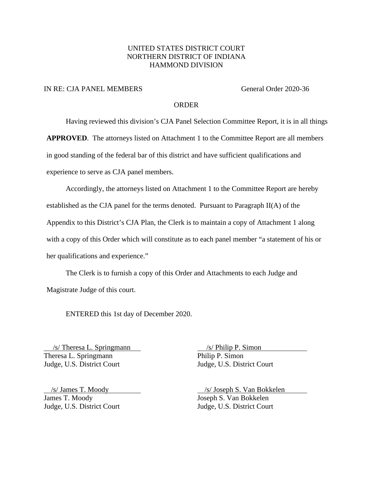## UNITED STATES DISTRICT COURT NORTHERN DISTRICT OF INDIANA HAMMOND DIVISION

### IN RE: CJA PANEL MEMBERS General Order 2020-36

### **ORDER**

Having reviewed this division's CJA Panel Selection Committee Report, it is in all things

**APPROVED**. The attorneys listed on Attachment 1 to the Committee Report are all members

in good standing of the federal bar of this district and have sufficient qualifications and

experience to serve as CJA panel members.

Accordingly, the attorneys listed on Attachment 1 to the Committee Report are hereby established as the CJA panel for the terms denoted. Pursuant to Paragraph II(A) of the Appendix to this District's CJA Plan, the Clerk is to maintain a copy of Attachment 1 along with a copy of this Order which will constitute as to each panel member "a statement of his or her qualifications and experience."

The Clerk is to furnish a copy of this Order and Attachments to each Judge and Magistrate Judge of this court.

ENTERED this 1st day of December 2020.

 /s/ Theresa L. Springmann /s/ Philip P. Simon Theresa L. Springmann Philip P. Simon Judge, U.S. District Court Judge, U.S. District Court

James T. Moody Joseph S. Van Bokkelen Judge, U.S. District Court Judge, U.S. District Court

/s/ James T. Moody /s/ Joseph S. Van Bokkelen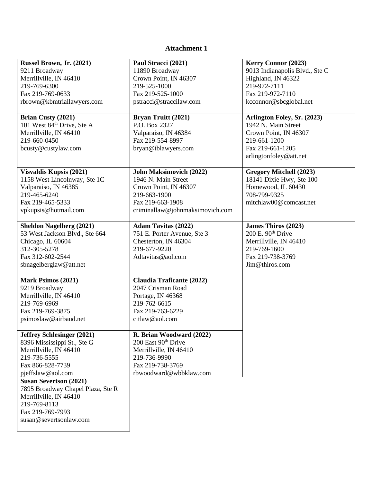# **Attachment 1**

| Russel Brown, Jr. (2021)                           | Paul Stracci (2021)              | Kerry Connor (2023)            |
|----------------------------------------------------|----------------------------------|--------------------------------|
| 9211 Broadway                                      | 11890 Broadway                   | 9013 Indianapolis Blvd., Ste C |
| Merrillville, IN 46410                             | Crown Point, IN 46307            | Highland, IN 46322             |
| 219-769-6300                                       | 219-525-1000                     | 219-972-7111                   |
| Fax 219-769-0633                                   | Fax 219-525-1000                 | Fax 219-972-7110               |
| rbrown@kbmtriallawyers.com                         | pstracci@straccilaw.com          | kcconnor@sbcglobal.net         |
|                                                    |                                  |                                |
| Brian Custy (2021)                                 | Bryan Truitt (2021)              | Arlington Foley, Sr. (2023)    |
| 101 West 84 <sup>th</sup> Drive, Ste A             | P.O. Box 2327                    | 1942 N. Main Street            |
| Merrillville, IN 46410                             | Valparaiso, IN 46384             | Crown Point, IN 46307          |
| 219-660-0450                                       | Fax 219-554-8997                 | 219-661-1200                   |
| bcusty@custylaw.com                                | bryan@tblawyers.com              | Fax 219-661-1205               |
|                                                    |                                  | arlingtonfoley@att.net         |
|                                                    |                                  |                                |
| Visvaldis Kupsis (2021)                            | <b>John Maksimovich (2022)</b>   | <b>Gregory Mitchell (2023)</b> |
| 1158 West Lincolnway, Ste 1C                       | 1946 N. Main Street              | 18141 Dixie Hwy, Ste 100       |
| Valparaiso, IN 46385                               | Crown Point, IN 46307            | Homewood, IL 60430             |
| 219-465-6240                                       | 219-663-1900                     | 708-799-9325                   |
| Fax 219-465-5333                                   | Fax 219-663-1908                 | mitchlaw00@comcast.net         |
| vpkupsis@hotmail.com                               | criminallaw@johnmaksimovich.com  |                                |
|                                                    |                                  |                                |
| <b>Sheldon Nagelberg (2021)</b>                    | <b>Adam Tavitas (2022)</b>       | <b>James Thiros (2023)</b>     |
| 53 West Jackson Blvd., Ste 664                     | 751 E. Porter Avenue, Ste 3      | $200$ E. $90th$ Drive          |
| Chicago, IL 60604                                  | Chesterton, IN 46304             | Merrillville, IN 46410         |
| 312-305-5278                                       | 219-677-9220                     | 219-769-1600                   |
| Fax 312-602-2544                                   | Adtavitas@aol.com                | Fax 219-738-3769               |
| sbnagelberglaw@att.net                             |                                  | Jim@thiros.com                 |
|                                                    |                                  |                                |
| Mark Psimos (2021)                                 | <b>Claudia Traficante (2022)</b> |                                |
| 9219 Broadway                                      | 2047 Crisman Road                |                                |
| Merrillville, IN 46410                             | Portage, IN 46368                |                                |
| 219-769-6969                                       | 219-762-6615                     |                                |
| Fax 219-769-3875                                   | Fax 219-763-6229                 |                                |
| psimoslaw@airbaud.net                              | citlaw@aol.com                   |                                |
|                                                    | R. Brian Woodward (2022)         |                                |
| Jeffrey Schlesinger (2021)                         | 200 East 90 <sup>th</sup> Drive  |                                |
| 8396 Mississippi St., Ste G                        | Merrillville, IN 46410           |                                |
| Merrillville, IN 46410                             |                                  |                                |
| 219-736-5555                                       | 219-736-9990<br>Fax 219-738-3769 |                                |
| Fax 866-828-7739                                   | rbwoodward@wbbklaw.com           |                                |
| pjeffslaw@aol.com<br><b>Susan Severtson (2021)</b> |                                  |                                |
| 7895 Broadway Chapel Plaza, Ste R                  |                                  |                                |
| Merrillville, IN 46410                             |                                  |                                |
| 219-769-8113                                       |                                  |                                |
| Fax 219-769-7993                                   |                                  |                                |
| susan@severtsonlaw.com                             |                                  |                                |
|                                                    |                                  |                                |
|                                                    |                                  |                                |